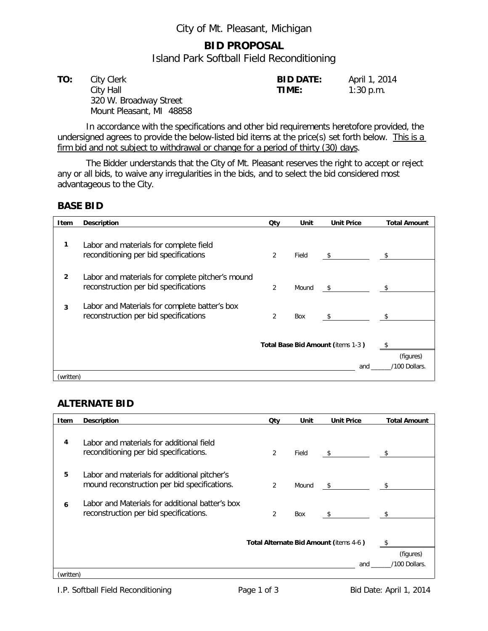## City of Mt. Pleasant, Michigan

## **BID PROPOSAL**

Island Park Softball Field Reconditioning

| TO: | City Clerk               | <b>BID DATE:</b> | April 1, 2014 |
|-----|--------------------------|------------------|---------------|
|     | City Hall                | TIME:            | $1:30$ p.m.   |
|     | 320 W. Broadway Street   |                  |               |
|     | Mount Pleasant, MI 48858 |                  |               |

In accordance with the specifications and other bid requirements heretofore provided, the undersigned agrees to provide the below-listed bid items at the price(s) set forth below. This is a firm bid and not subject to withdrawal or change for a period of thirty (30) days.

The Bidder understands that the City of Mt. Pleasant reserves the right to accept or reject any or all bids, to waive any irregularities in the bids, and to select the bid considered most advantageous to the City.

### **BASE BID**

| Item      | <b>Description</b>                                                                        | Qty | Unit  | <b>Unit Price</b>          | <b>Total Amount</b> |
|-----------|-------------------------------------------------------------------------------------------|-----|-------|----------------------------|---------------------|
| 1         | Labor and materials for complete field<br>reconditioning per bid specifications           | 2   | Field | $\sqrt{5}$                 | $^{\circ}$          |
| 2         | Labor and materials for complete pitcher's mound<br>reconstruction per bid specifications | 2   | Mound | \$                         | - \$                |
| 3         | Labor and Materials for complete batter's box<br>reconstruction per bid specifications    | 2   | Box   | -\$                        |                     |
|           | Total Base Bid Amount (items 1-3)<br>and                                                  |     |       | (figures)<br>/100 Dollars. |                     |
| (written) |                                                                                           |     |       |                            |                     |

### **ALTERNATE BID**

| Item                                          | <b>Description</b>                                                                           | Qtv            | Unit                       | <b>Unit Price</b> | <b>Total Amount</b> |
|-----------------------------------------------|----------------------------------------------------------------------------------------------|----------------|----------------------------|-------------------|---------------------|
| 4                                             | Labor and materials for additional field<br>reconditioning per bid specifications.           | 2              | Field                      | \$                | $^{\circ}$          |
| 5                                             | Labor and materials for additional pitcher's<br>mound reconstruction per bid specifications. | $\overline{2}$ | Mound                      | \$                | -S                  |
| 6                                             | Labor and Materials for additional batter's box<br>reconstruction per bid specifications.    | $\overline{2}$ | Box                        | S.                | - \$                |
| Total Alternate Bid Amount (items 4-6)<br>and |                                                                                              |                | (figures)<br>/100 Dollars. |                   |                     |
| (written)                                     |                                                                                              |                |                            |                   |                     |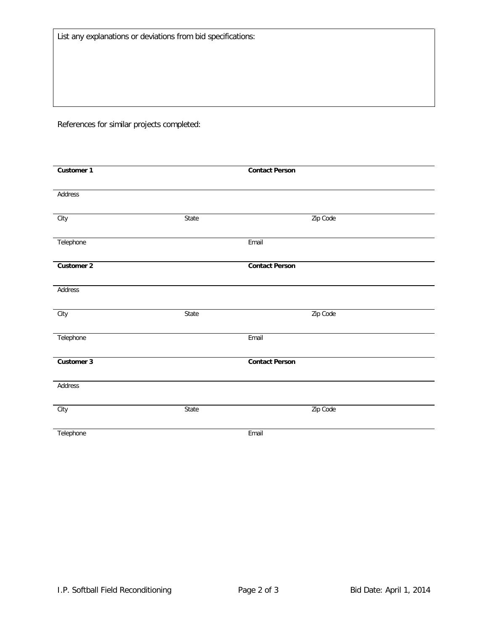List any explanations or deviations from bid specifications:

References for similar projects completed:

| Customer 1 |       | <b>Contact Person</b> |  |
|------------|-------|-----------------------|--|
|            |       |                       |  |
| Address    |       |                       |  |
|            |       |                       |  |
| City       | State | Zip Code              |  |
|            |       |                       |  |
| Telephone  |       | Email                 |  |
|            |       |                       |  |
| Customer 2 |       | <b>Contact Person</b> |  |
| Address    |       |                       |  |
|            |       |                       |  |
| City       | State | Zip Code              |  |
|            |       |                       |  |
| Telephone  |       | Email                 |  |
|            |       |                       |  |
| Customer 3 |       | <b>Contact Person</b> |  |
|            |       |                       |  |
| Address    |       |                       |  |
|            |       |                       |  |
| City       | State | Zip Code              |  |
|            |       |                       |  |
| Telephone  |       | Email                 |  |